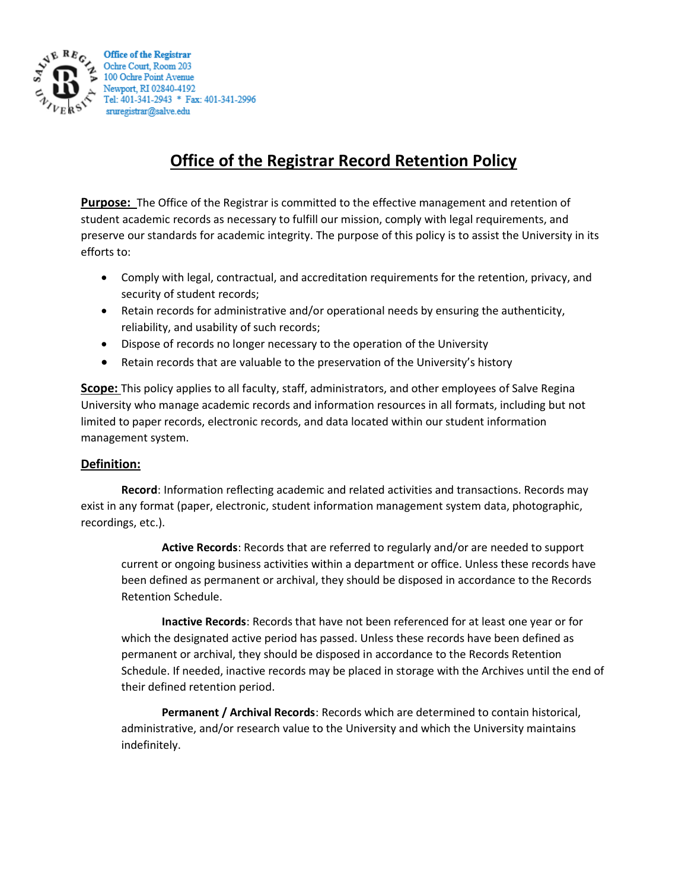

## **Office of the Registrar Record Retention Policy**

**Purpose:** The Office of the Registrar is committed to the effective management and retention of student academic records as necessary to fulfill our mission, comply with legal requirements, and preserve our standards for academic integrity. The purpose of this policy is to assist the University in its efforts to:

- Comply with legal, contractual, and accreditation requirements for the retention, privacy, and security of student records;
- Retain records for administrative and/or operational needs by ensuring the authenticity, reliability, and usability of such records;
- Dispose of records no longer necessary to the operation of the University
- Retain records that are valuable to the preservation of the University's history

**Scope:** This policy applies to all faculty, staff, administrators, and other employees of Salve Regina University who manage academic records and information resources in all formats, including but not limited to paper records, electronic records, and data located within our student information management system.

## **Definition:**

**Record**: Information reflecting academic and related activities and transactions. Records may exist in any format (paper, electronic, student information management system data, photographic, recordings, etc.).

**Active Records**: Records that are referred to regularly and/or are needed to support current or ongoing business activities within a department or office. Unless these records have been defined as permanent or archival, they should be disposed in accordance to the Records Retention Schedule.

**Inactive Records**: Records that have not been referenced for at least one year or for which the designated active period has passed. Unless these records have been defined as permanent or archival, they should be disposed in accordance to the Records Retention Schedule. If needed, inactive records may be placed in storage with the Archives until the end of their defined retention period.

**Permanent / Archival Records**: Records which are determined to contain historical, administrative, and/or research value to the University and which the University maintains indefinitely.